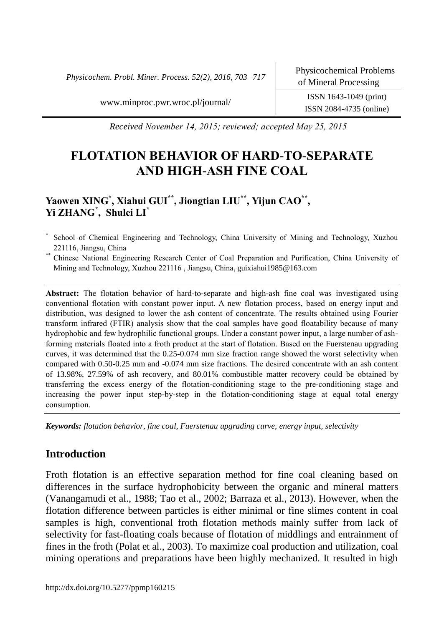*Physicochem. Probl. Miner. Process. 52(2), 2016, 703−717*

[www.minproc.pwr.wroc.pl/journal/](http://www.minproc.pwr.wroc.pl/journal/) ISSN 1643-1049 (print)

ISSN 2084-4735 (online)

*Received November 14, 2015; reviewed; accepted May 25, 2015*

# **FLOTATION BEHAVIOR OF HARD-TO-SEPARATE AND HIGH-ASH FINE COAL**

# **Yaowen XING\* , Xiahui GUI\*\* , Jiongtian LIU\*\* , Yijun CAO\*\* , Yi ZHANG\* , Shulei LI\***

- \* School of Chemical Engineering and Technology, China University of Mining and Technology, Xuzhou 221116, Jiangsu, China
- \*\* Chinese National Engineering Research Center of Coal Preparation and Purification, China University of Mining and Technology, Xuzhou 221116 , Jiangsu, China, guixiahui1985@163.com

**Abstract:** The flotation behavior of hard-to-separate and high-ash fine coal was investigated using conventional flotation with constant power input. A new flotation process, based on energy input and distribution, was designed to lower the ash content of concentrate. The results obtained using Fourier transform infrared (FTIR) analysis show that the coal samples have good floatability because of many hydrophobic and few hydrophilic functional groups. Under a constant power input, a large number of ashforming materials floated into a froth product at the start of flotation. Based on the Fuerstenau upgrading curves, it was determined that the 0.25-0.074 mm size fraction range showed the worst selectivity when compared with 0.50-0.25 mm and -0.074 mm size fractions. The desired concentrate with an ash content of 13.98%, 27.59% of ash recovery, and 80.01% combustible matter recovery could be obtained by transferring the excess energy of the flotation-conditioning stage to the pre-conditioning stage and increasing the power input step-by-step in the flotation-conditioning stage at equal total energy consumption.

*Keywords: flotation behavior, fine coal, Fuerstenau upgrading curve, energy input, selectivity*

# **Introduction**

Froth flotation is an effective separation method for fine coal cleaning based on differences in the surface hydrophobicity between the organic and mineral matters (Vanangamudi et al., 1988; Tao et al., 2002; Barraza et al., 2013). However, when the flotation difference between particles is either minimal or fine slimes content in coal samples is high, conventional froth flotation methods mainly suffer from lack of selectivity for fast-floating coals because of flotation of middlings and entrainment of fines in the froth (Polat et al., 2003). To maximize coal production and utilization, coal mining operations and preparations have been highly mechanized. It resulted in high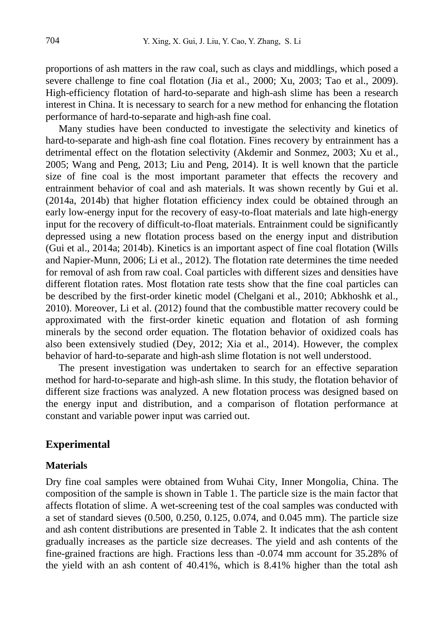[proportions](javascript:void(0);) of ash matters in the raw coal, such as clays and middlings, which posed a severe challenge to fine coal flotation (Jia et al., 2000; Xu, 2003; Tao et al., 2009). High-efficiency flotation of hard-to-separate and high-ash slime has been a research interest in China. It is necessary to search for a new method for enhancing the flotation performance of hard-to-separate and high-ash fine coal.

Many studies have been conducted to investigate the selectivity and kinetics of hard-to-separate and high-ash fine coal flotation. Fines recovery by entrainment has a detrimental effect on the flotation selectivity (Akdemir and Sonmez, 2003; Xu et al., 2005; Wang and Peng, 2013; Liu and Peng, 2014). It is well known that the particle size of fine coal is the most important parameter that effects the recovery and entrainment behavior of coal and ash materials. It was shown recently by Gui et al. (2014a, 2014b) that higher flotation efficiency index could be obtained through an early low-energy input for the recovery of easy-to-float materials and late high-energy input for the recovery of difficult-to-float materials. Entrainment could be significantly depressed using a new flotation process based on the energy input and distribution (Gui et al., 2014a; 2014b). Kinetics is an important aspect of fine coal flotation (Wills and Napier-Munn, 2006; Li et al., 2012). The flotation rate determines the time needed for removal of ash from raw coal. Coal particles with different sizes and densities have different flotation rates. Most flotation rate tests show that the fine coal particles can be described by the first-order kinetic model (Chelgani et al., 2010; Abkhoshk et al., 2010). Moreover, Li et al. (2012) found that the combustible matter recovery could be approximated with the first-order kinetic equation and flotation of ash forming minerals by the second order equation. The flotation behavior of oxidized coals has also been extensively studied (Dey, 2012; Xia et al., 2014). However, the complex behavior of hard-to-separate and high-ash slime flotation is not well understood.

The present investigation was undertaken to search for an effective separation method for hard-to-separate and high-ash slime. In this study, the flotation behavior of different size fractions was analyzed. A new flotation process was designed based on the energy input and distribution, and a comparison of flotation performance at constant and variable power input was carried out.

# **Experimental**

#### **Materials**

Dry fine coal samples were obtained from Wuhai City, Inner Mongolia, China. The composition of the sample is shown in Table 1. The particle size is the main factor that affects flotation of slime. A wet-screening test of the coal samples was conducted with a set of standard sieves (0.500, 0.250, 0.125, 0.074, and 0.045 mm). The particle size and ash content distributions are presented in Table 2. It indicates that the ash content gradually increases as the particle size decreases. The yield and ash contents of the fine-grained fractions are high. Fractions less than -0.074 mm account for 35.28% of the yield with an ash content of 40.41%, which is 8.41% higher than the total ash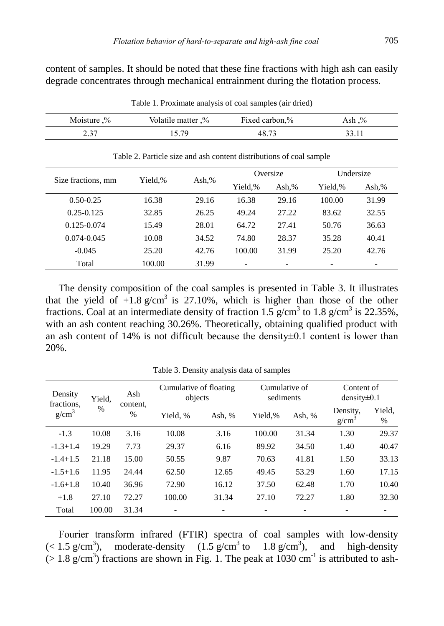content of samples. It should be noted that these fine fractions with high ash can easily degrade concentrates through mechanical entrainment during the flotation process.

| Moisture $\%$ | Volatile matter .% | Fixed carbon,% | Ash .% |
|---------------|--------------------|----------------|--------|
| 2.37          | 15.79              | 48.73          | 33.11  |

Table 1. Proximate analysis of coal sample**s** (air dried)

| Size fractions, mm | Yield.% |       |                          | Oversize | Undersize                |       |
|--------------------|---------|-------|--------------------------|----------|--------------------------|-------|
|                    |         | Ash,% | Yield,%                  | Ash.%    | Yield,%                  | Ash,% |
| $0.50 - 0.25$      | 16.38   | 29.16 | 16.38                    | 29.16    | 100.00                   | 31.99 |
| $0.25 - 0.125$     | 32.85   | 26.25 | 49.24                    | 27.22    | 83.62                    | 32.55 |
| $0.125 - 0.074$    | 15.49   | 28.01 | 64.72                    | 27.41    | 50.76                    | 36.63 |
| $0.074 - 0.045$    | 10.08   | 34.52 | 74.80                    | 28.37    | 35.28                    | 40.41 |
| $-0.045$           | 25.20   | 42.76 | 100.00                   | 31.99    | 25.20                    | 42.76 |
| Total              | 100.00  | 31.99 | $\overline{\phantom{a}}$ |          | $\overline{\phantom{0}}$ |       |

Table 2. Particle size and ash content distributions of coal sample

The density composition of the coal samples is presented in Table 3. It illustrates that the yield of  $+1.8$  g/cm<sup>3</sup> is 27.10%, which is higher than those of the other fractions. Coal at an intermediate density of fraction 1.5  $g/cm<sup>3</sup>$  to 1.8  $g/cm<sup>3</sup>$  is 22.35%, with an ash content reaching 30.26%. Theoretically, obtaining qualified product with an ash content of 14% is not difficult because the density $\pm 0.1$  content is lower than 20%.

| Density<br>Ash<br>Yield,<br>fractions.<br>content. |        | Cumulative of floating<br>objects |          | Cumulative of<br>sediments |         | Content of<br>$density\pm0.1$ |                               |             |
|----------------------------------------------------|--------|-----------------------------------|----------|----------------------------|---------|-------------------------------|-------------------------------|-------------|
| $g/cm^3$                                           | $\%$   | $\%$                              | Yield, % | Ash, $%$                   | Yield.% | Ash, %                        | Density,<br>g/cm <sup>3</sup> | Yield,<br>% |
| $-1.3$                                             | 10.08  | 3.16                              | 10.08    | 3.16                       | 100.00  | 31.34                         | 1.30                          | 29.37       |
| $-1.3 + 1.4$                                       | 19.29  | 7.73                              | 29.37    | 6.16                       | 89.92   | 34.50                         | 1.40                          | 40.47       |
| $-1.4+1.5$                                         | 21.18  | 15.00                             | 50.55    | 9.87                       | 70.63   | 41.81                         | 1.50                          | 33.13       |
| $-1.5 + 1.6$                                       | 11.95  | 24.44                             | 62.50    | 12.65                      | 49.45   | 53.29                         | 1.60                          | 17.15       |
| $-1.6+1.8$                                         | 10.40  | 36.96                             | 72.90    | 16.12                      | 37.50   | 62.48                         | 1.70                          | 10.40       |
| $+1.8$                                             | 27.10  | 72.27                             | 100.00   | 31.34                      | 27.10   | 72.27                         | 1.80                          | 32.30       |
| Total                                              | 100.00 | 31.34                             |          |                            |         |                               |                               |             |

Table 3. Density analysis data of samples

Fourier transform infrared (FTIR) spectra of coal samples with low-density  $(< 1.5 \text{ g/cm}^3)$ , ), moderate-density  $(1.5 \text{ g/cm}^3 \text{ to } 1.8 \text{ g/cm}^3)$ , and high-density  $(> 1.8 \text{ g/cm}^3)$  fractions are shown in Fig. 1. The peak at 1030 cm<sup>-1</sup> is attributed to ash-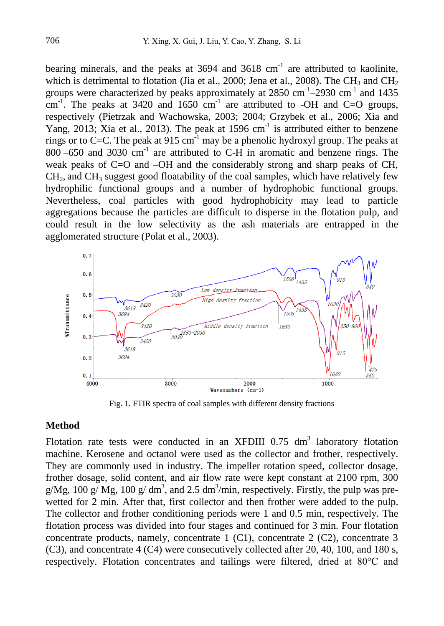bearing minerals, and the peaks at  $3694$  and  $3618 \text{ cm}^{-1}$  are attributed to kaolinite, which is detrimental to flotation (Jia et al., 2000; Jena et al., 2008). The CH<sub>3</sub> and CH<sub>2</sub> groups were characterized by peaks approximately at  $2850 \text{ cm}^{-1}$ -2930 cm<sup>-1</sup> and 1435 cm<sup>-1</sup>. The peaks at 3420 and 1650 cm<sup>-1</sup> are attributed to -OH and C=O groups, respectively (Pietrzak and Wachowska, 2003; 2004; Grzybek et al., 2006; Xia and Yang, 2013; Xia et al., 2013). The peak at  $1596 \text{ cm}^{-1}$  is attributed either to benzene rings or to C=C. The peak at  $915 \text{ cm}^{-1}$  may be a phenolic hydroxyl group. The peaks at  $800 - 650$  and  $3030$  cm<sup>-1</sup> are attributed to C-H in aromatic and benzene rings. The weak peaks of C=O and –OH and the considerably strong and sharp peaks of CH, CH2, and CH<sup>3</sup> suggest good floatability of the coal samples, which have relatively few hydrophilic functional groups and a number of hydrophobic functional groups. Nevertheless, coal particles with good hydrophobicity may lead to particle aggregations because the particles are difficult to disperse in the flotation pulp, and could result in the low selectivity as the ash materials are entrapped in the agglomerated structure (Polat et al., 2003).



Fig. 1. FTIR spectra of coal samples with different density fractions

#### **Method**

Flotation rate tests were conducted in an XFDIII  $0.75 \text{ dm}^3$  laboratory flotation machine. Kerosene and octanol were used as the collector and frother, respectively. They are commonly used in industry. The impeller rotation speed, collector dosage, frother dosage, solid content, and air flow rate were kept constant at 2100 rpm, 300 g/Mg, 100 g/ Mg, 100 g/ dm<sup>3</sup>, and 2.5 dm<sup>3</sup>/min, respectively. Firstly, the pulp was prewetted for 2 min. After that, first collector and then frother were added to the pulp. The collector and frother conditioning periods were 1 and 0.5 min, respectively. The flotation process was divided into four stages and continued for 3 min. Four flotation concentrate products, namely, concentrate 1 (C1), concentrate 2 (C2), concentrate 3 (C3), and concentrate 4 (C4) were consecutively collected after 20, 40, 100, and 180 s, respectively. Flotation concentrates and tailings were filtered, dried at 80°C and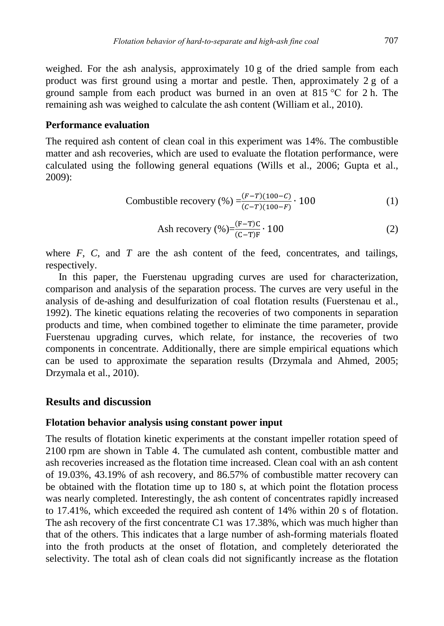weighed. For the ash analysis, approximately 10 g of the dried sample from each product was first ground using a mortar and pestle. Then, approximately 2 g of a ground sample from each product was burned in an oven at 815 °C for 2 h. The remaining ash was weighed to calculate the ash content (William et al., 2010).

#### **Performance evaluation**

The required ash content of clean coal in this experiment was 14%. The combustible matter and ash recoveries, which are used to evaluate the flotation performance, were calculated using the following general equations (Wills et al., 2006; Gupta et al., 2009):

Combustible recovery (
$$
\% = \frac{(F-T)(100-C)}{(C-T)(100-F)} \cdot 100
$$
 (1)

$$
Ash recovery (\%)=\frac{(F-T)C}{(C-T)F} \cdot 100
$$
 (2)

where  $F$ ,  $C$ , and  $T$  are the ash content of the feed, concentrates, and tailings, respectively.

In this paper, the Fuerstenau upgrading curves are used for characterization, comparison and analysis of the separation process. The curves are very useful in the analysis of de-ashing and desulfurization of coal flotation results (Fuerstenau et al., 1992). The kinetic equations relating the recoveries of two components in separation products and time, when combined together to eliminate the time parameter, provide Fuerstenau upgrading curves, which relate, for instance, the recoveries of two components in concentrate. Additionally, there are simple empirical equations which can be used to approximate the separation results (Drzymala and Ahmed, 2005; Drzymala et al., 2010).

# **Results and discussion**

#### **Flotation behavior analysis using constant power input**

The results of flotation kinetic experiments at the constant impeller rotation speed of 2100 rpm are shown in Table 4. The cumulated ash content, combustible matter and ash recoveries increased as the flotation time increased. Clean coal with an ash content of 19.03%, 43.19% of ash recovery, and 86.57% of combustible matter recovery can be obtained with the flotation time up to 180 s, at which point the flotation process was nearly completed. Interestingly, the ash content of concentrates rapidly increased to 17.41%, which exceeded the required ash content of 14% within 20 s of flotation. The ash recovery of the first concentrate C1 was 17.38%, which was much higher than that of the others. This indicates that a large number of ash-forming materials floated into the froth products at the onset of flotation, and completely deteriorated the selectivity. The total ash of clean coals did not significantly increase as the flotation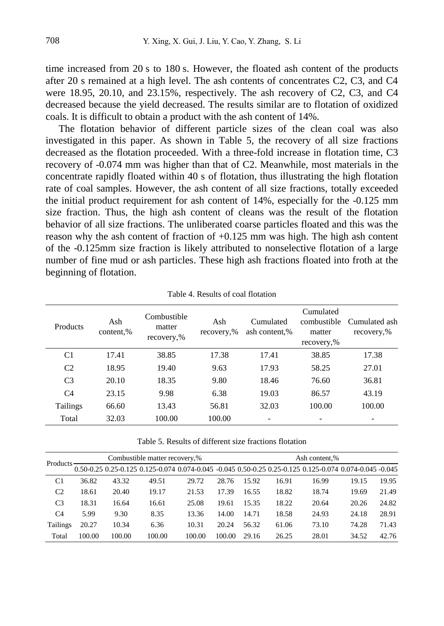time increased from 20 s to 180 s. However, the floated ash content of the products after 20 s remained at a high level. The ash contents of concentrates C2, C3, and C4 were 18.95, 20.10, and 23.15%, respectively. The ash recovery of C2, C3, and C4 decreased because the yield decreased. The results similar are to flotation of oxidized coals. It is difficult to obtain a product with the ash content of 14%.

The flotation behavior of different particle sizes of the clean coal was also investigated in this paper. As shown in Table 5, the recovery of all size fractions decreased as the flotation proceeded. With a three-fold increase in flotation time, C3 recovery of -0.074 mm was higher than that of C2. Meanwhile, most materials in the concentrate rapidly floated within 40 s of flotation, thus illustrating the high flotation rate of coal samples. However, the ash content of all size fractions, totally exceeded the initial product requirement for ash content of 14%, especially for the -0.125 mm size fraction. Thus, the high ash content of cleans was the result of the flotation behavior of all size fractions. The unliberated coarse particles floated and this was the reason why the ash content of fraction of  $+0.125$  mm was high. The high ash content of the -0.125mm size fraction is likely attributed to nonselective flotation of a large number of fine mud or ash particles. These high ash fractions floated into froth at the beginning of flotation.

| Products       | Ash<br>content,% | Combustible<br>matter<br>recovery,% | Ash<br>recovery,% | Cumulated<br>ash content,% | Cumulated<br>combustible<br>matter<br>recovery,% | Cumulated ash<br>recovery,% |
|----------------|------------------|-------------------------------------|-------------------|----------------------------|--------------------------------------------------|-----------------------------|
| C1             | 17.41            | 38.85                               | 17.38             | 17.41                      | 38.85                                            | 17.38                       |
| C <sub>2</sub> | 18.95            | 19.40                               | 9.63              | 17.93                      | 58.25                                            | 27.01                       |
| C <sub>3</sub> | 20.10            | 18.35                               | 9.80              | 18.46                      | 76.60                                            | 36.81                       |
| C <sub>4</sub> | 23.15            | 9.98                                | 6.38              | 19.03                      | 86.57                                            | 43.19                       |
| Tailings       | 66.60            | 13.43                               | 56.81             | 32.03                      | 100.00                                           | 100.00                      |
| Total          | 32.03            | 100.00                              | 100.00            |                            |                                                  |                             |

Table 4. Results of coal flotation

Table 5. Results of different size fractions flotation

| <b>Products</b> | Combustible matter recovery,% |        |        |                                                                                                               |        | Ash content,% |       |       |       |       |
|-----------------|-------------------------------|--------|--------|---------------------------------------------------------------------------------------------------------------|--------|---------------|-------|-------|-------|-------|
|                 |                               |        |        | 0.045 0.025 0.25 0.125 0.125 0.074 0.074 0.074 0.045 0.045 0.50 0.25 0.25 0.125 0.125 0.074 0.074 0.045 0.045 |        |               |       |       |       |       |
| C <sub>1</sub>  | 36.82                         | 43.32  | 49.51  | 29.72                                                                                                         | 28.76  | 15.92         | 16.91 | 16.99 | 19.15 | 19.95 |
| C <sub>2</sub>  | 18.61                         | 20.40  | 19.17  | 21.53                                                                                                         | 17.39  | 16.55         | 18.82 | 18.74 | 19.69 | 21.49 |
| C <sub>3</sub>  | 18.31                         | 16.64  | 16.61  | 25.08                                                                                                         | 19.61  | 15.35         | 18.22 | 20.64 | 20.26 | 24.82 |
| C <sub>4</sub>  | 5.99                          | 9.30   | 8.35   | 13.36                                                                                                         | 14.00  | 14.71         | 18.58 | 24.93 | 24.18 | 28.91 |
| Tailings        | 20.27                         | 10.34  | 6.36   | 10.31                                                                                                         | 20.24  | 56.32         | 61.06 | 73.10 | 74.28 | 71.43 |
| Total           | 100.00                        | 100.00 | 100.00 | 100.00                                                                                                        | 100.00 | 29.16         | 26.25 | 28.01 | 34.52 | 42.76 |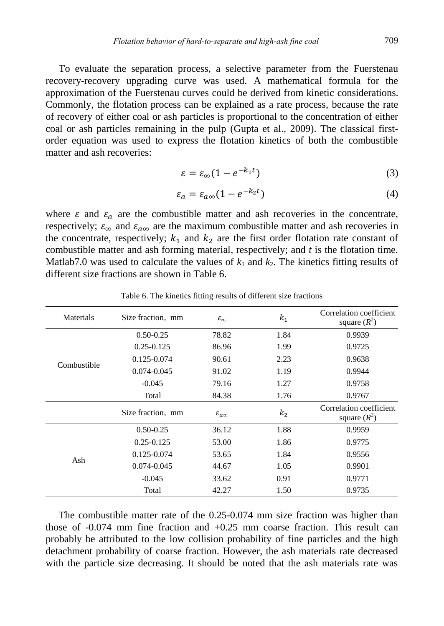To evaluate the separation process, a selective parameter from the Fuerstenau recovery-recovery upgrading curve was used. A mathematical formula for the approximation of the Fuerstenau curves could be derived from kinetic considerations. Commonly, the flotation process can be explained as a rate process, because the rate of recovery of either coal or ash particles is proportional to the concentration of either coal or ash particles remaining in the pulp (Gupta et al., 2009). The classical firstorder equation was used to express the flotation kinetics of both the combustible matter and ash recoveries:

$$
\varepsilon = \varepsilon_{\infty} (1 - e^{-k_1 t}) \tag{3}
$$

$$
\varepsilon_a = \varepsilon_{a\infty} (1 - e^{-k_2 t}) \tag{4}
$$

where  $\varepsilon$  and  $\varepsilon_a$  are the combustible matter and ash recoveries in the concentrate, respectively;  $\varepsilon_{\infty}$  and  $\varepsilon_{a\infty}$  are the maximum combustible matter and ash recoveries in the concentrate, respectively;  $k_1$  and  $k_2$  are the first order flotation rate constant of combustible matter and ash forming material, respectively; and *t* is the flotation time. Matlab7.0 was used to calculate the values of  $k_1$  and  $k_2$ . The kinetics fitting results of different size fractions are shown in Table 6.

| Materials   | Size fraction, mm | $\varepsilon_{\infty}$  | $k_1$          | Correlation coefficient<br>square $(R^2)$ |
|-------------|-------------------|-------------------------|----------------|-------------------------------------------|
|             | $0.50 - 0.25$     | 78.82                   | 1.84           | 0.9939                                    |
|             | $0.25 - 0.125$    | 86.96                   | 1.99           | 0.9725                                    |
| Combustible | 0.125-0.074       | 90.61                   | 2.23           | 0.9638                                    |
|             | 0.074-0.045       | 91.02                   | 1.19           | 0.9944                                    |
|             | $-0.045$          | 79.16                   | 1.27           | 0.9758                                    |
|             | Total             | 84.38                   | 1.76           | 0.9767                                    |
|             |                   |                         |                |                                           |
|             | Size fraction, mm | $\varepsilon_{a\infty}$ | k <sub>2</sub> | Correlation coefficient<br>square $(R^2)$ |
|             | $0.50 - 0.25$     | 36.12                   | 1.88           | 0.9959                                    |
|             | $0.25 - 0.125$    | 53.00                   | 1.86           | 0.9775                                    |
|             | 0.125-0.074       | 53.65                   | 1.84           | 0.9556                                    |
| Ash         | $0.074 - 0.045$   | 44.67                   | 1.05           | 0.9901                                    |
|             | $-0.045$          | 33.62                   | 0.91           | 0.9771                                    |

Table 6. The kinetics fitting results of different size fractions

The combustible matter rate of the 0.25-0.074 mm size fraction was higher than those of -0.074 mm fine fraction and +0.25 mm coarse fraction. This result can probably be attributed to the low collision probability of fine particles and the high detachment probability of coarse fraction. However, the ash materials rate decreased with the particle size decreasing. It should be noted that the ash materials rate was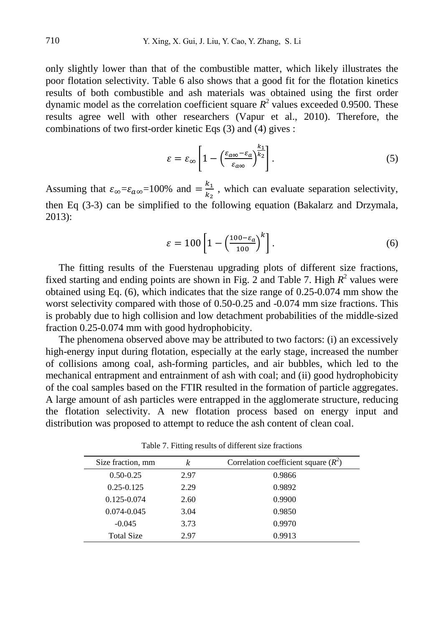only slightly lower than that of the combustible matter, which likely illustrates the poor flotation selectivity. Table 6 also shows that a good fit for the flotation kinetics results of both combustible and ash materials was obtained using the first order dynamic model as the correlation coefficient square  $R^2$  values exceeded 0.9500. These results agree well with other researchers (Vapur et al., 2010). Therefore, the combinations of two first-order kinetic Eqs (3) and (4) gives :

$$
\varepsilon = \varepsilon_{\infty} \left[ 1 - \left( \frac{\varepsilon_{a\infty} - \varepsilon_a}{\varepsilon_{a\infty}} \right)^{k_1} \right]. \tag{5}
$$

Assuming that  $\varepsilon_{\infty} = \varepsilon_{a\infty} = 100\%$  and  $= \frac{k_1}{k_2}$  $\frac{\kappa_1}{\kappa_2}$ , which can evaluate separation selectivity, then Eq (3-3) can be simplified to the following equation (Bakalarz and Drzymala, 2013):

$$
\varepsilon = 100 \left[ 1 - \left( \frac{100 - \varepsilon_a}{100} \right)^k \right]. \tag{6}
$$

The fitting results of the Fuerstenau upgrading plots of different size fractions, fixed starting and ending points are shown in Fig. 2 and Table 7. High  $R^2$  values were obtained using Eq. (6), which indicates that the size range of 0.25-0.074 mm show the worst selectivity compared with those of 0.50-0.25 and -0.074 mm size fractions. This is probably due to high collision and low detachment probabilities of the middle-sized fraction 0.25-0.074 mm with good hydrophobicity.

The phenomena observed above may be attributed to two factors: (i) an excessively high-energy input during flotation, especially at the early stage, increased the number of collisions among coal, ash-forming particles, and air bubbles, which led to the mechanical entrapment and entrainment of ash with coal; and (ii) good hydrophobicity of the coal samples based on the FTIR resulted in the formation of particle aggregates. A large amount of ash particles were entrapped in the agglomerate structure, reducing the flotation selectivity. A new flotation process based on energy input and distribution was proposed to attempt to reduce the ash content of clean coal.

| Size fraction, mm | k    | Correlation coefficient square $(R^2)$ |
|-------------------|------|----------------------------------------|
| $0.50 - 0.25$     | 2.97 | 0.9866                                 |
| $0.25 - 0.125$    | 2.29 | 0.9892                                 |
| $0.125 - 0.074$   | 2.60 | 0.9900                                 |
| $0.074 - 0.045$   | 3.04 | 0.9850                                 |
| $-0.045$          | 3.73 | 0.9970                                 |
| <b>Total Size</b> | 2.97 | 0.9913                                 |

Table 7. Fitting results of different size fractions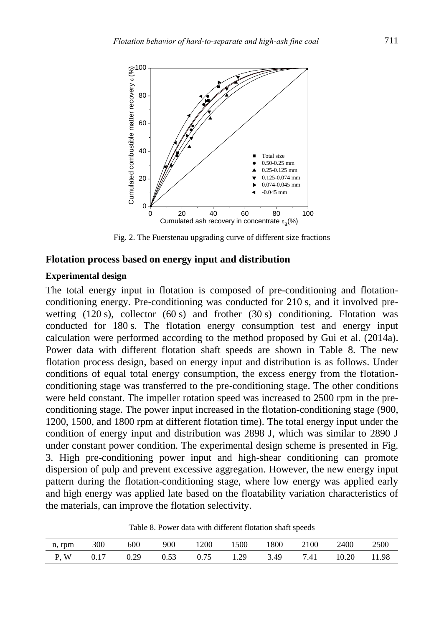

Fig. 2. The Fuerstenau upgrading curve of different size fractions

#### **Flotation process based on energy input and distribution**

### **Experimental design**

The total energy input in flotation is composed of pre-conditioning and flotationconditioning energy. Pre-conditioning was conducted for 210 s, and it involved prewetting  $(120 \text{ s})$ , collector  $(60 \text{ s})$  and frother  $(30 \text{ s})$  conditioning. Flotation was conducted for 180 s. The flotation energy consumption test and energy input calculation were performed according to the method proposed by Gui et al. (2014a). Power data with different flotation shaft speeds are shown in Table 8. The new flotation process design, based on energy input and distribution is as follows. Under conditions of equal total energy consumption, the excess energy from the flotationconditioning stage was transferred to the pre-conditioning stage. The other conditions were held constant. The impeller rotation speed was increased to 2500 rpm in the preconditioning stage. The power input increased in the flotation-conditioning stage (900, 1200, 1500, and 1800 rpm at different flotation time). The total energy input under the condition of energy input and distribution was 2898 J, which was similar to 2890 J under constant power condition. The experimental design scheme is presented in Fig. 3. High pre-conditioning power input and high-shear conditioning can promote dispersion of pulp and prevent excessive aggregation. However, the new energy input pattern during the flotation-conditioning stage, where low energy was applied early and high energy was applied late based on the floatability variation characteristics of the materials, can improve the flotation selectivity.

Table 8. Power data with different flotation shaft speeds

| n, rpm     | 300  | 600  | 900  | 1200 | 1500 | 1800 | 2100 | 2400  | 2500  |
|------------|------|------|------|------|------|------|------|-------|-------|
| <b>P.W</b> | 0.17 | 0.29 | 0.53 | 0.75 | 1.29 | 3.49 | 7.41 | 10.20 | 11.98 |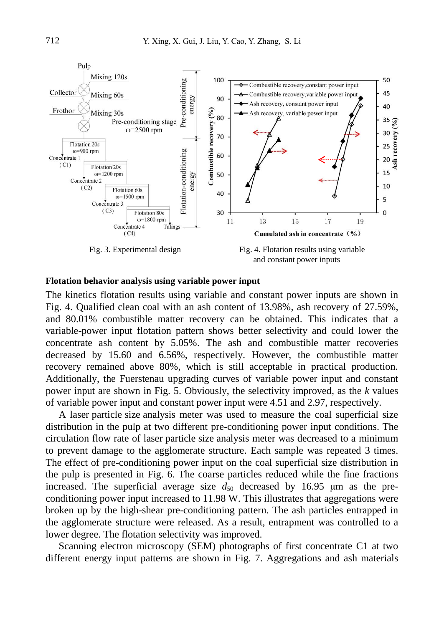

#### **Flotation behavior analysis using variable power input**

The kinetics flotation results using variable and constant power inputs are shown in Fig. 4. Qualified clean coal with an ash content of 13.98%, ash recovery of 27.59%, and 80.01% combustible matter recovery can be obtained. This indicates that a variable-power input flotation pattern shows better selectivity and could lower the concentrate ash content by 5.05%. The ash and combustible matter recoveries decreased by 15.60 and 6.56%, respectively. However, the combustible matter recovery remained above 80%, which is still acceptable in practical production. Additionally, the Fuerstenau upgrading curves of variable power input and constant power input are shown in Fig. 5. Obviously, the selectivity improved, as the *k* values of variable power input and constant power input were 4.51 and 2.97, respectively.

A laser particle size analysis meter was used to measure the coal superficial size distribution in the pulp at two different pre-conditioning power input conditions. The circulation flow rate of laser particle size analysis meter was decreased to a minimum to prevent damage to the agglomerate structure. Each sample was repeated 3 times. The effect of pre-conditioning power input on the coal superficial size distribution in the pulp is presented in Fig. 6. The coarse particles reduced while the fine fractions increased. The superficial average size  $d_{50}$  decreased by 16.95  $\mu$ m as the preconditioning power input increased to 11.98 W. This illustrates that aggregations were broken up by the high-shear pre-conditioning pattern. The ash particles entrapped in the agglomerate structure were released. As a result, entrapment was controlled to a lower degree. The flotation selectivity was improved.

Scanning electron microscopy (SEM) photographs of first concentrate C1 at two different energy input patterns are shown in Fig. 7. Aggregations and ash materials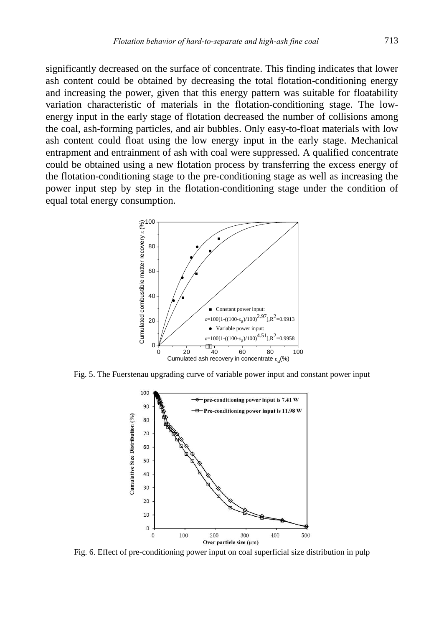significantly decreased on the surface of concentrate. This finding indicates that lower ash content could be obtained by decreasing the total flotation-conditioning energy and increasing the power, given that this energy pattern was suitable for floatability variation characteristic of materials in the flotation-conditioning stage. The lowenergy input in the early stage of flotation decreased the number of collisions among the coal, ash-forming particles, and air bubbles. Only easy-to-float materials with low ash content could float using the low energy input in the early stage. Mechanical entrapment and entrainment of ash with coal were suppressed. A qualified concentrate could be obtained using a new flotation process by transferring the excess energy of the flotation-conditioning stage to the pre-conditioning stage as well as increasing the power input step by step in the flotation-conditioning stage under the condition of equal total energy consumption.



Fig. 5. The Fuerstenau upgrading curve of variable power input and constant power input



Fig. 6. Effect of pre-conditioning power input on coal superficial size distribution in pulp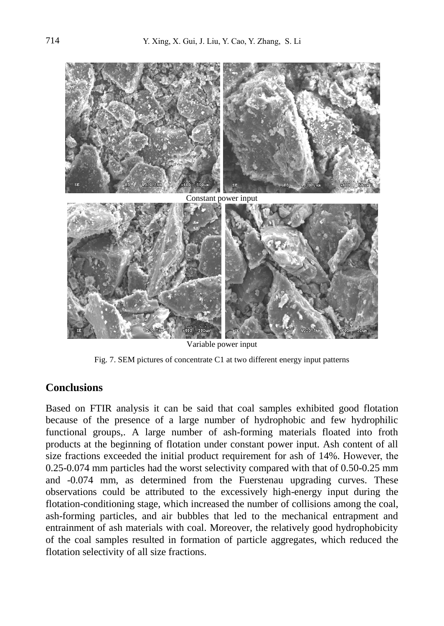

Variable power input

Fig. 7. SEM pictures of concentrate C1 at two different energy input patterns

# **Conclusions**

Based on FTIR analysis it can be said that coal samples exhibited good flotation because of the presence of a large number of hydrophobic and few hydrophilic functional groups,. A large number of ash-forming materials floated into froth products at the beginning of flotation under constant power input. Ash content of all size fractions exceeded the initial product requirement for ash of 14%. However, the 0.25-0.074 mm particles had the worst selectivity compared with that of 0.50-0.25 mm and -0.074 mm, as determined from the Fuerstenau upgrading curves. These observations could be attributed to the excessively high-energy input during the flotation-conditioning stage, which increased the number of collisions among the coal, ash-forming particles, and air bubbles that led to the mechanical entrapment and entrainment of ash materials with coal. Moreover, the relatively good hydrophobicity of the coal samples resulted in formation of particle aggregates, which reduced the flotation selectivity of all size fractions.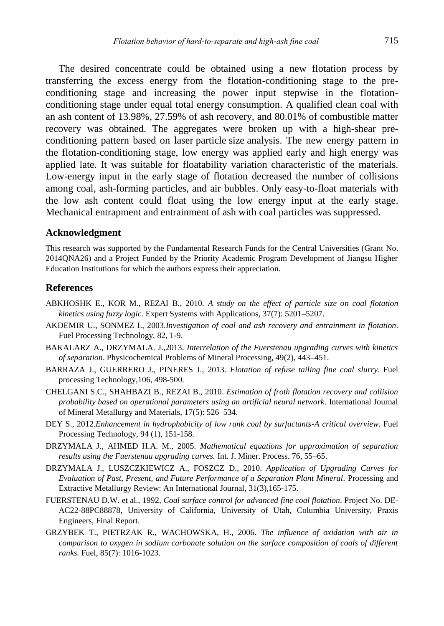The desired concentrate could be obtained using a new flotation process by transferring the excess energy from the flotation-conditioning stage to the preconditioning stage and increasing the power input stepwise in the flotationconditioning stage under equal total energy consumption. A qualified clean coal with an ash content of 13.98%, 27.59% of ash recovery, and 80.01% of combustible matter recovery was obtained. The aggregates were broken up with a high-shear preconditioning pattern based on laser particle size analysis. The new energy pattern in the flotation-conditioning stage, low energy was applied early and high energy was applied late. It was suitable for floatability variation characteristic of the materials. Low-energy input in the early stage of flotation decreased the number of collisions among coal, ash-forming particles, and air bubbles. Only easy-to-float materials with the low ash content could float using the low energy input at the early stage. Mechanical entrapment and entrainment of ash with coal particles was suppressed.

#### **Acknowledgment**

This research was supported by the Fundamental Research Funds for the Central Universities (Grant No. 2014QNA26) and a Project Funded by the Priority Academic Program Development of Jiangsu Higher Education Institutions for which the authors express their appreciation.

#### **References**

- ABKHOSHK E., KOR M., REZAI B., 2010. *A study on the effect of particle size on coal flotation kinetics using fuzzy logic*. Expert Systems with Applications, 37(7): 5201–5207.
- AKDEMIR U., SONMEZ I., 2003.*Investigation of coal and ash recovery and entrainment in flotation*. Fuel Processing Technology, 82, 1-9.
- BAKALARZ A., DRZYMALA. J.,2013. *Interrelation of the Fuerstenau upgrading curves with kinetics of separation*. Physicochemical Problems of Mineral Processing, 49(2), 443–451.
- BARRAZA J., GUERRERO J., PINERES J., 2013. *Flotation of refuse tailing fine coal slurry*. Fuel processing Technology,106, 498-500.
- CHELGANI S.C., SHAHBAZI B., REZAI B., 2010. *Estimation of froth flotation recovery and collision probability based on operational parameters using an artificial neural network*. International Journal of Mineral Metallurgy and Materials, 17(5): 526–534.
- DEY S., 2012.*Enhancement in hydrophobicity of low rank coal by surfactants-A critical overview*. Fuel Processing Technology, 94 (1), 151-158.
- DRZYMALA J., AHMED H.A. M., 2005. *Mathematical equations for approximation of separation results using the Fuerstenau upgrading curves.* Int. J. Miner. Process. 76, 55–65.
- DRZYMALA J., LUSZCZKIEWICZ A., FOSZCZ D., 2010. *Application of Upgrading Curves for Evaluation of Past, Present, and Future Performance of a Separation Plant Mineral.* Processing and Extractive Metallurgy Review: An International Journal, 31(3),165-175.
- FUERSTENAU D.W. et al., 1992, *Coal surface control for advanced fine coal flotation*. Project No. DE-AC22-88PC88878, University of California, University of Utah, Columbia University, Praxis Engineers, Final Report.
- GRZYBEK T., PIETRZAK R., WACHOWSKA, H., 2006. *The influence of oxidation with air in comparison to oxygen in sodium carbonate solution on the surface composition of coals of different ranks.* Fuel, 85(7): 1016-1023.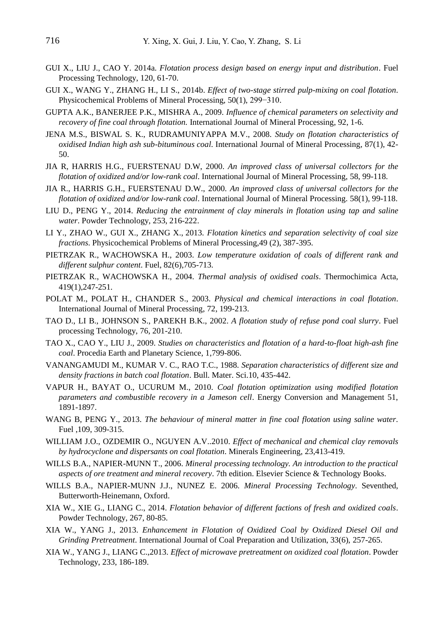- GUI X., LIU J., CAO Y. 2014a. *Flotation process design based on energy input and distribution*. Fuel Processing Technology, 120, 61-70.
- GUI X., WANG Y., ZHANG H., LI S., 2014b. *Effect of two-stage stirred pulp-mixing on coal flotation*. Physicochemical Problems of Mineral Processing, 50(1), 299−310.
- GUPTA A.K., BANERJEE P.K., MISHRA A., 2009. *Influence of chemical parameters on selectivity and recovery of fine coal through flotation.* International Journal of Mineral Processing, 92, 1-6.
- JENA M.S., BISWAL S. K., RUDRAMUNIYAPPA M.V., 2008. *Study on flotation characteristics of oxidised Indian high ash sub-bituminous coal*. International Journal of Mineral Processing, 87(1), 42- 50.
- JIA R, HARRIS H.G., FUERSTENAU D.W, 2000. *An improved class of universal collectors for the flotation of oxidized and/or low-rank coal*. International Journal of Mineral Processing, 58, 99-118.
- JIA R., HARRIS G.H., FUERSTENAU D.W., 2000. *An improved class of universal collectors for the flotation of oxidized and/or low-rank coal*. International Journal of Mineral Processing. 58(1), 99-118.
- LIU D., PENG Y., 2014. *Reducing the entrainment of clay minerals in flotation using tap and saline water*. Powder Technology, 253, 216-222.
- LI Y., ZHAO W., GUI X., ZHANG X., 2013. *[Flotation kinetics and separation selectivity of coal size](http://www.ppmp.pwr.wroc.pl/sorpa/file/5609eea312404d80b37560585dc32840/download)  [fractions](http://www.ppmp.pwr.wroc.pl/sorpa/file/5609eea312404d80b37560585dc32840/download)*. Physicochemical Problems of Mineral Processing,49 (2), 387-395.
- PIETRZAK R., WACHOWSKA H., 2003. *Low temperature oxidation of coals of different rank and different sulphur content*. Fuel, 82(6),705-713.
- PIETRZAK R., WACHOWSKA H., 2004. *Thermal analysis of oxidised coals*. Thermochimica Acta, 419(1),247-251.
- POLAT M., POLAT H., CHANDER S., 2003. *Physical and chemical interactions in coal flotation*. International Journal of Mineral Processing, 72, 199-213.
- TAO D., LI B., JOHNSON S., PAREKH B.K., 2002. *A flotation study of refuse pond coal slurry*. Fuel processing Technology, 76, 201-210.
- TAO X., CAO Y., LIU J., 2009. *Studies on characteristics and flotation of a hard-to-float high-ash fine coal*. Procedia Earth and Planetary Science, 1,799-806.
- VANANGAMUDI M., KUMAR V. C., RAO T.C., 1988. *Separation characteristics of different size and density fractions in batch coal flotation*. Bull. Mater. Sci.10, 435-442.
- VAPUR H., BAYAT O., UCURUM M., 2010. *Coal flotation optimization using modified flotation parameters and combustible recovery in a Jameson cell*. Energy Conversion and Management 51, 1891-1897.
- WANG B, PENG Y., 2013. *The behaviour of mineral matter in fine coal flotation using saline water.*  Fuel ,109, 309-315.
- WILLIAM J.O., OZDEMIR O., NGUYEN A.V..2010. *Effect of mechanical and chemical clay removals by hydrocyclone and dispersants on coal flotation*. Minerals Engineering, 23,413-419.
- WILLS B.A., NAPIER-MUNN T., 2006. *Mineral processing technology. An introduction to the practical aspects of ore treatment and mineral recovery*. 7th edition. Elsevier Science & Technology Books.
- WILLS B.A., NAPIER-MUNN J.J., NUNEZ E. 2006. *Mineral Processing Technology*. Seventhed, Butterworth-Heinemann, Oxford.
- XIA W., XIE G., LIANG C., 2014. *Flotation behavior of different factions of fresh and oxidized coals*. Powder Technology, 267, 80-85.
- XIA W., YANG J., 2013. *Enhancement in Flotation of Oxidized Coal by Oxidized Diesel Oil and Grinding Pretreatment*. International Journal of Coal Preparation and Utilization, 33(6), 257-265.
- XIA W., YANG J., LIANG C.,2013. *Effect of microwave pretreatment on oxidized coal flotation*. Powder Technology, 233, 186-189.